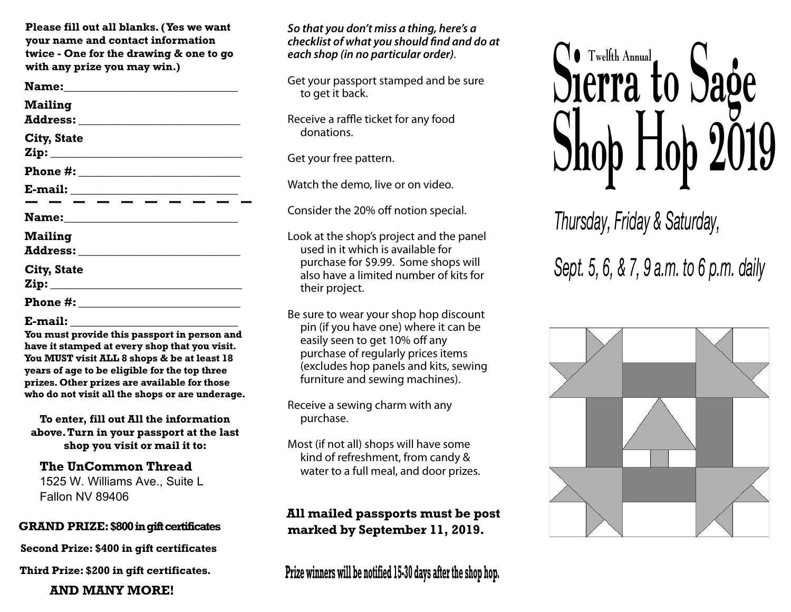**Please fill out all blanks. (Yes we want your name and contact information twice - One for the drawing & one to go with any prize you may win.)**

**Name:\_\_\_\_\_\_\_\_\_\_\_\_\_\_\_\_\_\_\_\_\_\_\_\_\_\_\_\_\_ Mailing Address: \_\_\_\_\_\_\_\_\_\_\_\_\_\_\_\_\_\_\_\_\_\_\_\_\_\_\_ City, State Zip: \_\_\_\_\_\_\_\_\_\_\_\_\_\_\_\_\_\_\_\_\_\_\_\_\_\_\_\_\_\_\_\_ Phone #: \_\_\_\_\_\_\_\_\_\_\_\_\_\_\_\_\_\_\_\_\_ E-mail: \_\_\_\_\_\_\_\_\_\_\_\_\_\_\_\_\_\_\_\_\_\_\_\_\_\_\_\_ Name:\_\_\_\_\_\_\_\_\_\_\_\_\_\_\_\_\_\_\_\_\_\_\_\_\_\_\_\_\_ Mailing Address: \_\_\_\_\_\_\_\_\_\_\_\_\_\_\_\_\_\_\_\_\_\_\_\_\_\_\_ City, State Zip: \_\_\_\_\_\_\_\_\_\_\_\_\_\_\_\_\_\_\_\_\_\_\_\_\_\_\_\_\_\_\_\_ Phone #: \_\_\_\_\_\_\_\_\_\_\_\_\_\_\_\_\_\_\_\_\_\_\_\_\_\_\_\_\_\_\_\_\_** 

#### **E-mail: \_\_\_\_\_\_\_\_\_\_\_\_\_\_\_\_\_\_\_\_\_\_\_\_\_\_\_\_**

**You must provide this passport in person and have it stamped at every shop that you visit. You MUST visit ALL 8 shops & be at least 18 years of age to be eligible for the top three prizes. Other prizes are available for those who do not visit all the shops or are underage.**

**To enter, fill out All the information above.Turn in your passport at the last shop you visit or mail it to:**

#### **The UnCommon Thread** 1525 W. Williams Ave., Suite L

Fallon NV 89406

#### **GRAND PRIZE: \$800 in gift certificates**

**Second Prize: \$400 in gift certificates**

**Third Prize: \$200 in gift certificates.**

### **AND MANY MORE!**

#### *So that you don't miss a thing, here's a checklist of what you should find and do at each shop (in no particular order)*.

Get your passport stamped and be sure to get it back.

Receive a raffle ticket for any food donations.

Get your free pattern.

Watch the demo, live or on video.

Consider the 20% off notion special.

Look at the shop's project and the panel used in it which is available for purchase for \$9.99. Some shops will also have a limited number of kits for their project.

Be sure to wear your shop hop discount pin (if you have one) where it can be easily seen to get 10% off any purchase of regularly prices items (excludes hop panels and kits, sewing furniture and sewing machines).

Receive a sewing charm with any purchase.

Most (if not all) shops will have some kind of refreshment, from candy & water to a full meal, and door prizes.

**All mailed passports must be post marked by September 11, 2019.**

**Prize winners will be notified 15-30 days after the shop hop.** 



*Thursday, Friday & Saturday,* 

*Sept. 5, 6, & 7, 9 a.m. to 6 p.m. daily*